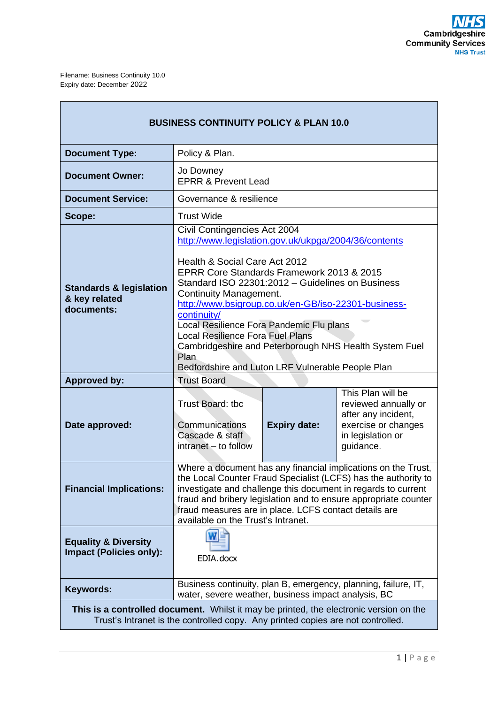| <b>BUSINESS CONTINUITY POLICY &amp; PLAN 10.0</b>                                                                                                                                                                                                                                                                                                                                                    |                                                                                                                                                                                                                                                                                                                                                                                                                                                                                                      |                     |                                                                                                                           |  |  |  |
|------------------------------------------------------------------------------------------------------------------------------------------------------------------------------------------------------------------------------------------------------------------------------------------------------------------------------------------------------------------------------------------------------|------------------------------------------------------------------------------------------------------------------------------------------------------------------------------------------------------------------------------------------------------------------------------------------------------------------------------------------------------------------------------------------------------------------------------------------------------------------------------------------------------|---------------------|---------------------------------------------------------------------------------------------------------------------------|--|--|--|
| <b>Document Type:</b>                                                                                                                                                                                                                                                                                                                                                                                | Policy & Plan.                                                                                                                                                                                                                                                                                                                                                                                                                                                                                       |                     |                                                                                                                           |  |  |  |
| <b>Document Owner:</b>                                                                                                                                                                                                                                                                                                                                                                               | Jo Downey<br><b>EPRR &amp; Prevent Lead</b>                                                                                                                                                                                                                                                                                                                                                                                                                                                          |                     |                                                                                                                           |  |  |  |
| <b>Document Service:</b>                                                                                                                                                                                                                                                                                                                                                                             | Governance & resilience                                                                                                                                                                                                                                                                                                                                                                                                                                                                              |                     |                                                                                                                           |  |  |  |
| Scope:                                                                                                                                                                                                                                                                                                                                                                                               | <b>Trust Wide</b>                                                                                                                                                                                                                                                                                                                                                                                                                                                                                    |                     |                                                                                                                           |  |  |  |
|                                                                                                                                                                                                                                                                                                                                                                                                      | Civil Contingencies Act 2004                                                                                                                                                                                                                                                                                                                                                                                                                                                                         |                     |                                                                                                                           |  |  |  |
| <b>Standards &amp; legislation</b><br>& key related<br>documents:                                                                                                                                                                                                                                                                                                                                    | http://www.legislation.gov.uk/ukpga/2004/36/contents<br>Health & Social Care Act 2012<br>EPRR Core Standards Framework 2013 & 2015<br>Standard ISO 22301:2012 - Guidelines on Business<br>Continuity Management.<br>http://www.bsigroup.co.uk/en-GB/iso-22301-business-<br>continuity/<br>Local Resilience Fora Pandemic Flu plans<br><b>Local Resilience Fora Fuel Plans</b><br>Cambridgeshire and Peterborough NHS Health System Fuel<br>Plan<br>Bedfordshire and Luton LRF Vulnerable People Plan |                     |                                                                                                                           |  |  |  |
| <b>Approved by:</b>                                                                                                                                                                                                                                                                                                                                                                                  | <b>Trust Board</b>                                                                                                                                                                                                                                                                                                                                                                                                                                                                                   |                     |                                                                                                                           |  |  |  |
| Date approved:                                                                                                                                                                                                                                                                                                                                                                                       | Trust Board: tbc<br>Communications<br>Cascade & staff<br>intranet - to follow                                                                                                                                                                                                                                                                                                                                                                                                                        | <b>Expiry date:</b> | This Plan will be<br>reviewed annually or<br>after any incident,<br>exercise or changes<br>in legislation or<br>guidance. |  |  |  |
| Where a document has any financial implications on the Trust,<br>the Local Counter Fraud Specialist (LCFS) has the authority to<br><b>Financial Implications:</b><br>investigate and challenge this document in regards to current<br>fraud and bribery legislation and to ensure appropriate counter<br>fraud measures are in place. LCFS contact details are<br>available on the Trust's Intranet. |                                                                                                                                                                                                                                                                                                                                                                                                                                                                                                      |                     |                                                                                                                           |  |  |  |
| <b>Equality &amp; Diversity</b><br><b>Impact (Policies only):</b>                                                                                                                                                                                                                                                                                                                                    | EDIA.docx                                                                                                                                                                                                                                                                                                                                                                                                                                                                                            |                     |                                                                                                                           |  |  |  |
| <b>Keywords:</b>                                                                                                                                                                                                                                                                                                                                                                                     | Business continuity, plan B, emergency, planning, failure, IT,<br>water, severe weather, business impact analysis, BC                                                                                                                                                                                                                                                                                                                                                                                |                     |                                                                                                                           |  |  |  |
| <b>This is a controlled document.</b> Whilst it may be printed, the electronic version on the<br>Trust's Intranet is the controlled copy. Any printed copies are not controlled.                                                                                                                                                                                                                     |                                                                                                                                                                                                                                                                                                                                                                                                                                                                                                      |                     |                                                                                                                           |  |  |  |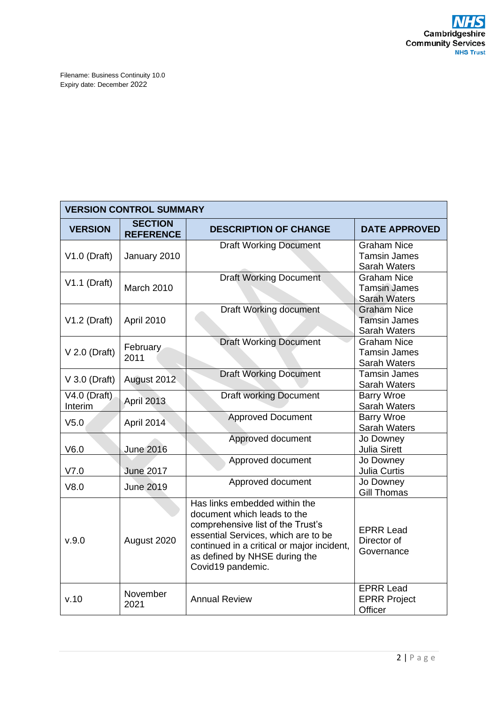| <b>VERSION CONTROL SUMMARY</b> |                                    |                                                                                                                                                                                                                                              |                                                                  |  |  |  |
|--------------------------------|------------------------------------|----------------------------------------------------------------------------------------------------------------------------------------------------------------------------------------------------------------------------------------------|------------------------------------------------------------------|--|--|--|
| <b>VERSION</b>                 | <b>SECTION</b><br><b>REFERENCE</b> | <b>DESCRIPTION OF CHANGE</b>                                                                                                                                                                                                                 | <b>DATE APPROVED</b>                                             |  |  |  |
| $V1.0$ (Draft)                 | January 2010                       | <b>Draft Working Document</b>                                                                                                                                                                                                                | <b>Graham Nice</b><br><b>Tamsin James</b><br><b>Sarah Waters</b> |  |  |  |
| $V1.1$ (Draft)                 | March 2010                         | <b>Draft Working Document</b>                                                                                                                                                                                                                | <b>Graham Nice</b><br><b>Tamsin James</b><br><b>Sarah Waters</b> |  |  |  |
| $V1.2$ (Draft)                 | April 2010                         | Draft Working document                                                                                                                                                                                                                       | <b>Graham Nice</b><br><b>Tamsin James</b><br>Sarah Waters        |  |  |  |
| $V$ 2.0 (Draft)                | February<br>2011                   | <b>Draft Working Document</b>                                                                                                                                                                                                                | <b>Graham Nice</b><br><b>Tamsin James</b><br>Sarah Waters        |  |  |  |
| $V$ 3.0 (Draft)                | August 2012                        | <b>Draft Working Document</b>                                                                                                                                                                                                                | <b>Tamsin James</b><br>Sarah Waters                              |  |  |  |
| $V4.0$ (Draft)<br>Interim      | <b>April 2013</b>                  | <b>Draft working Document</b>                                                                                                                                                                                                                | <b>Barry Wroe</b><br>Sarah Waters                                |  |  |  |
| V <sub>5.0</sub>               | April 2014                         | <b>Approved Document</b>                                                                                                                                                                                                                     | <b>Barry Wroe</b><br>Sarah Waters                                |  |  |  |
| V6.0                           | <b>June 2016</b>                   | Approved document                                                                                                                                                                                                                            | Jo Downey<br><b>Julia Sirett</b>                                 |  |  |  |
| V7.0                           | <b>June 2017</b>                   | Approved document                                                                                                                                                                                                                            | Jo Downey<br>Julia Curtis                                        |  |  |  |
| V8.0                           | <b>June 2019</b>                   | Approved document                                                                                                                                                                                                                            | Jo Downey<br><b>Gill Thomas</b>                                  |  |  |  |
| V.9.0                          | August 2020                        | Has links embedded within the<br>document which leads to the<br>comprehensive list of the Trust's<br>essential Services, which are to be<br>continued in a critical or major incident,<br>as defined by NHSE during the<br>Covid19 pandemic. | <b>EPRR Lead</b><br>Director of<br>Governance                    |  |  |  |
| v.10                           | November<br>2021                   | <b>Annual Review</b>                                                                                                                                                                                                                         | <b>EPRR Lead</b><br><b>EPRR Project</b><br>Officer               |  |  |  |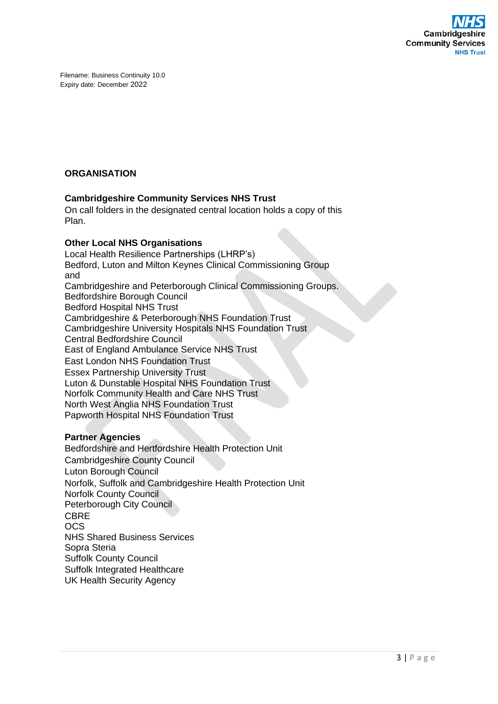

## **ORGANISATION**

## **Cambridgeshire Community Services NHS Trust**

On call folders in the designated central location holds a copy of this Plan.

## **Other Local NHS Organisations**

Local Health Resilience Partnerships (LHRP's) Bedford, Luton and Milton Keynes Clinical Commissioning Group and Cambridgeshire and Peterborough Clinical Commissioning Groups. Bedfordshire Borough Council Bedford Hospital NHS Trust Cambridgeshire & Peterborough NHS Foundation Trust Cambridgeshire University Hospitals NHS Foundation Trust Central Bedfordshire Council East of England Ambulance Service NHS Trust East London NHS Foundation Trust Essex Partnership University Trust Luton & Dunstable Hospital NHS Foundation Trust [Norfolk Community Health and Care NHS Trust](http://www.norfolkcommunityhealthandcare.nhs.uk/) North West Anglia NHS Foundation Trust Papworth Hospital NHS Foundation Trust

## **Partner Agencies**

Bedfordshire and Hertfordshire Health Protection Unit Cambridgeshire County Council Luton Borough Council Norfolk, Suffolk and Cambridgeshire Health Protection Unit Norfolk County Council Peterborough City Council CBRE OCS NHS Shared Business Services Sopra Steria Suffolk County Council Suffolk Integrated Healthcare UK Health Security Agency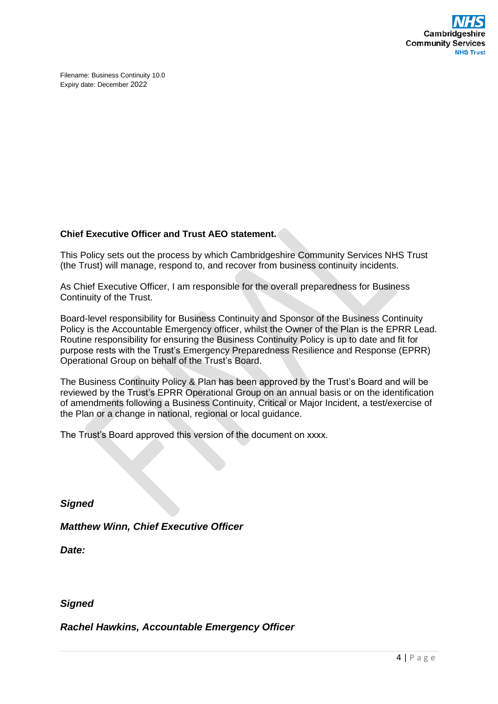

## **Chief Executive Officer and Trust AEO statement.**

This Policy sets out the process by which Cambridgeshire Community Services NHS Trust (the Trust) will manage, respond to, and recover from business continuity incidents.

As Chief Executive Officer, I am responsible for the overall preparedness for Business Continuity of the Trust.

Board-level responsibility for Business Continuity and Sponsor of the Business Continuity Policy is the Accountable Emergency officer, whilst the Owner of the Plan is the EPRR Lead. Routine responsibility for ensuring the Business Continuity Policy is up to date and fit for purpose rests with the Trust's Emergency Preparedness Resilience and Response (EPRR) Operational Group on behalf of the Trust's Board.

The Business Continuity Policy & Plan has been approved by the Trust's Board and will be reviewed by the Trust's EPRR Operational Group on an annual basis or on the identification of amendments following a Business Continuity, Critical or Major Incident, a test/exercise of the Plan or a change in national, regional or local guidance.

The Trust's Board approved this version of the document on xxxx.

*Signed*

*Matthew Winn, Chief Executive Officer*

*Date:* 

## *Signed*

*Rachel Hawkins, Accountable Emergency Officer*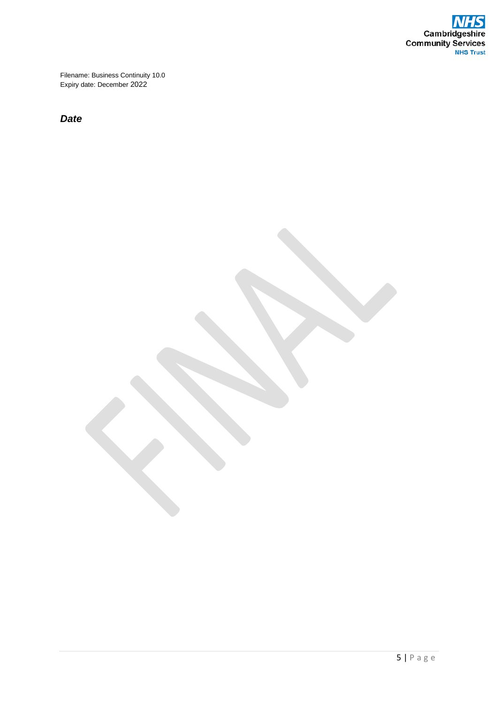

*Date*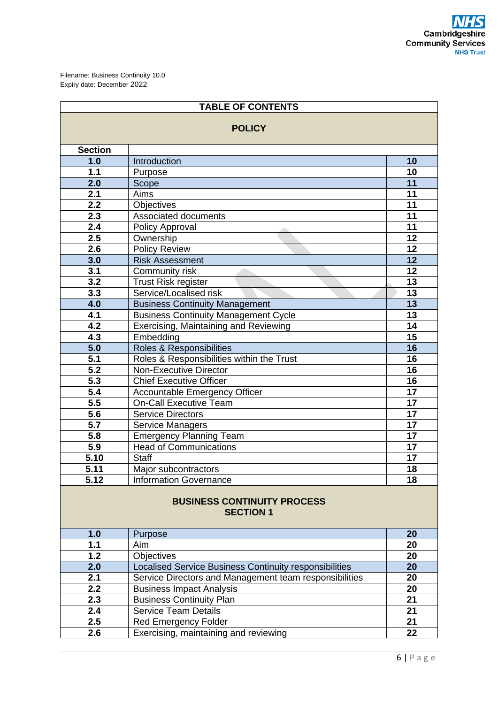| <b>TABLE OF CONTENTS</b>                               |                                                        |                 |  |  |  |
|--------------------------------------------------------|--------------------------------------------------------|-----------------|--|--|--|
| <b>POLICY</b>                                          |                                                        |                 |  |  |  |
| <b>Section</b>                                         |                                                        |                 |  |  |  |
| 1.0                                                    | Introduction                                           | 10              |  |  |  |
| 1.1                                                    | Purpose                                                | 10              |  |  |  |
| 2.0                                                    | Scope                                                  | 11              |  |  |  |
| 2.1                                                    | Aims                                                   | 11              |  |  |  |
| 2.2                                                    | <b>Objectives</b>                                      | 11              |  |  |  |
| 2.3                                                    | Associated documents                                   | 11              |  |  |  |
| 2.4                                                    | Policy Approval                                        | 11              |  |  |  |
| 2.5                                                    | Ownership                                              | 12              |  |  |  |
| 2.6                                                    | <b>Policy Review</b>                                   | 12              |  |  |  |
| 3.0                                                    | <b>Risk Assessment</b>                                 | 12              |  |  |  |
| 3.1                                                    | Community risk                                         | 12              |  |  |  |
| 3.2                                                    | <b>Trust Risk register</b>                             | 13              |  |  |  |
| 3.3                                                    | Service/Localised risk                                 | 13              |  |  |  |
| 4.0                                                    | <b>Business Continuity Management</b>                  | 13              |  |  |  |
| 4.1                                                    | <b>Business Continuity Management Cycle</b>            | 13              |  |  |  |
| 4.2                                                    | Exercising, Maintaining and Reviewing                  | 14              |  |  |  |
| 4.3                                                    | Embedding                                              | 15              |  |  |  |
| 5.0                                                    | Roles & Responsibilities                               | 16              |  |  |  |
| 5.1                                                    | Roles & Responsibilities within the Trust              | 16              |  |  |  |
| 5.2                                                    | <b>Non-Executive Director</b>                          | 16              |  |  |  |
| 5.3                                                    | <b>Chief Executive Officer</b>                         | 16              |  |  |  |
| 5.4                                                    | Accountable Emergency Officer                          | $\overline{17}$ |  |  |  |
| 5.5                                                    | <b>On-Call Executive Team</b>                          | 17              |  |  |  |
| 5.6                                                    | <b>Service Directors</b>                               | $\overline{17}$ |  |  |  |
| 5.7                                                    | Service Managers                                       | $\overline{17}$ |  |  |  |
| 5.8                                                    | <b>Emergency Planning Team</b>                         | 17              |  |  |  |
| 5.9                                                    | <b>Head of Communications</b>                          | 17              |  |  |  |
| 5.10                                                   | <b>Staff</b>                                           | 17              |  |  |  |
| 5.11                                                   | Major subcontractors                                   | 18              |  |  |  |
| 5.12                                                   | <b>Information Governance</b>                          | $\overline{18}$ |  |  |  |
| <b>BUSINESS CONTINUITY PROCESS</b><br><b>SECTION 1</b> |                                                        |                 |  |  |  |
| 1.0                                                    | Purpose                                                | 20              |  |  |  |
| 1.1                                                    | Aim                                                    | 20              |  |  |  |
| 1.2                                                    | <b>Objectives</b>                                      | 20              |  |  |  |
| 2.0                                                    | Localised Service Business Continuity responsibilities | 20              |  |  |  |
| 2.1                                                    | Service Directors and Management team responsibilities | 20              |  |  |  |
| 2.2                                                    | <b>Business Impact Analysis</b>                        | 20              |  |  |  |
| 2.3                                                    | <b>Business Continuity Plan</b>                        | 21              |  |  |  |
| 2.4                                                    | <b>Service Team Details</b>                            | 21              |  |  |  |
| 2.5                                                    | <b>Red Emergency Folder</b>                            | 21              |  |  |  |
| 2.6                                                    | Exercising, maintaining and reviewing                  | 22              |  |  |  |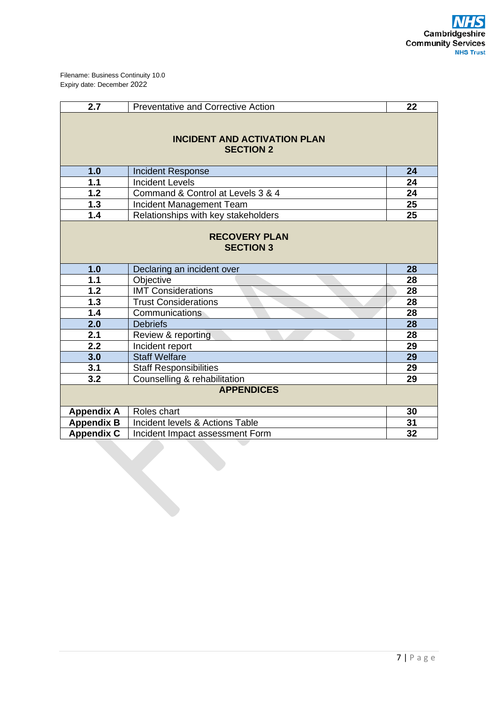| 2.7                                                     | <b>Preventative and Corrective Action</b> | 22 |  |  |
|---------------------------------------------------------|-------------------------------------------|----|--|--|
| <b>INCIDENT AND ACTIVATION PLAN</b><br><b>SECTION 2</b> |                                           |    |  |  |
| 1.0                                                     | <b>Incident Response</b>                  | 24 |  |  |
| $1.1$                                                   | <b>Incident Levels</b>                    | 24 |  |  |
| $\overline{1.2}$                                        | Command & Control at Levels 3 & 4         | 24 |  |  |
| $1.3$                                                   | Incident Management Team                  | 25 |  |  |
| 1.4                                                     | Relationships with key stakeholders       | 25 |  |  |
|                                                         | <b>RECOVERY PLAN</b><br><b>SECTION 3</b>  |    |  |  |
| 1.0                                                     | Declaring an incident over                | 28 |  |  |
| $1.1$                                                   | Objective                                 | 28 |  |  |
| $\overline{1.2}$                                        | <b>IMT Considerations</b>                 | 28 |  |  |
| 1.3                                                     | <b>Trust Considerations</b><br>28         |    |  |  |
| 1.4                                                     | Communications<br>28                      |    |  |  |
| 2.0                                                     | 28<br><b>Debriefs</b>                     |    |  |  |
| 2.1                                                     | Review & reporting                        | 28 |  |  |
| 2.2                                                     | Incident report                           | 29 |  |  |
| 3.0                                                     | <b>Staff Welfare</b>                      | 29 |  |  |
| 3.1                                                     | <b>Staff Responsibilities</b>             | 29 |  |  |
| 3.2                                                     | Counselling & rehabilitation              | 29 |  |  |
|                                                         | <b>APPENDICES</b>                         |    |  |  |
| <b>Appendix A</b>                                       | Roles chart                               | 30 |  |  |
| <b>Appendix B</b>                                       | Incident levels & Actions Table           | 31 |  |  |
| <b>Appendix C</b>                                       | Incident Impact assessment Form           | 32 |  |  |
|                                                         |                                           |    |  |  |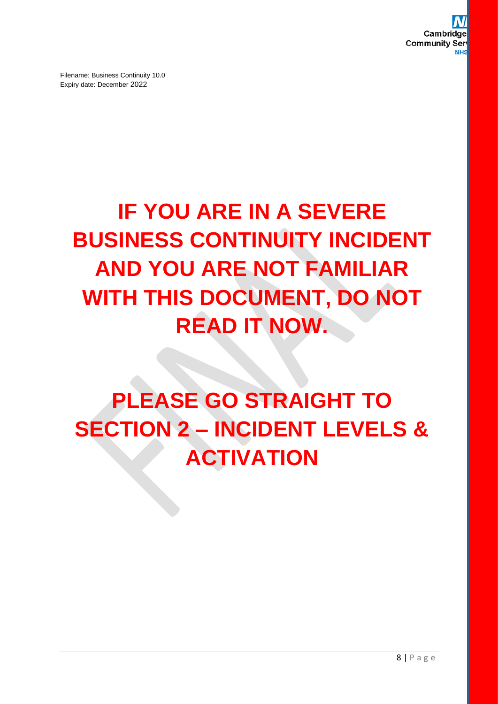## **IF YOU ARE IN A SEVERE BUSINESS CONTINUITY INCIDENT AND YOU ARE NOT FAMILIAR WITH THIS DOCUMENT, DO NOT READ IT NOW.**

## **PLEASE GO STRAIGHT TO SECTION 2 – INCIDENT LEVELS & ACTIVATION**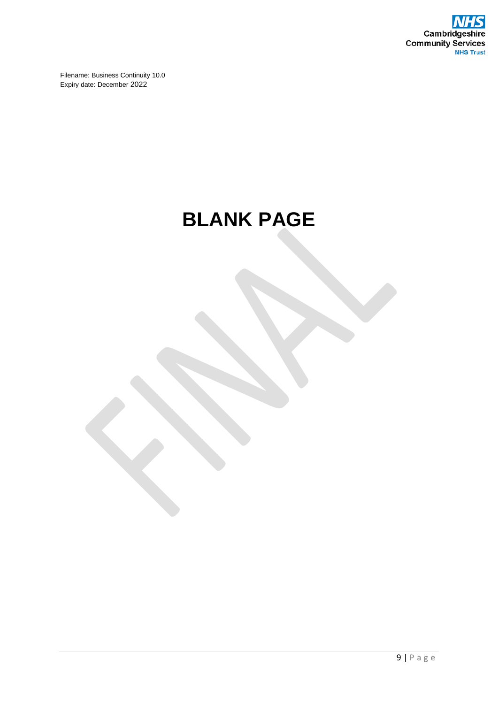

## **BLANK PAGE**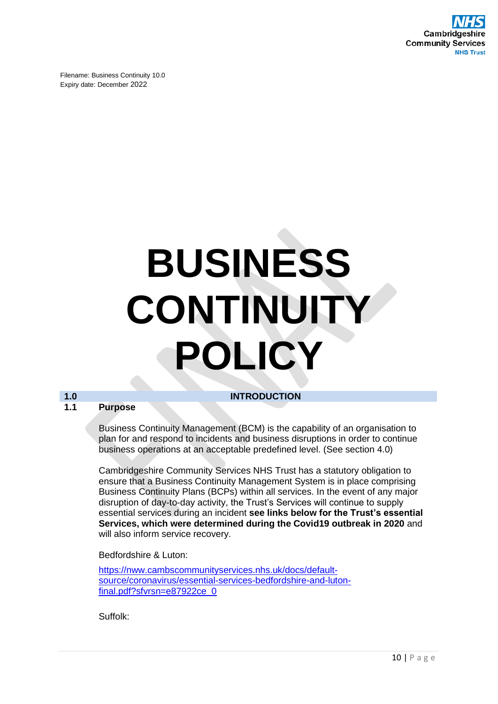

## **BUSINESS CONTINUITY POLICY**

## **1.0 INTRODUCTION**

## **1.1 Purpose**

Business Continuity Management (BCM) is the capability of an organisation to plan for and respond to incidents and business disruptions in order to continue business operations at an acceptable predefined level. (See section 4.0)

Cambridgeshire Community Services NHS Trust has a statutory obligation to ensure that a Business Continuity Management System is in place comprising Business Continuity Plans (BCPs) within all services. In the event of any major disruption of day-to-day activity, the Trust's Services will continue to supply essential services during an incident **see links below for the Trust's essential Services, which were determined during the Covid19 outbreak in 2020** and will also inform service recovery.

Bedfordshire & Luton:

[https://nww.cambscommunityservices.nhs.uk/docs/default](https://nww.cambscommunityservices.nhs.uk/docs/default-source/coronavirus/essential-services-bedfordshire-and-luton-final.pdf?sfvrsn=e87922ce_0)[source/coronavirus/essential-services-bedfordshire-and-luton](https://nww.cambscommunityservices.nhs.uk/docs/default-source/coronavirus/essential-services-bedfordshire-and-luton-final.pdf?sfvrsn=e87922ce_0)[final.pdf?sfvrsn=e87922ce\\_0](https://nww.cambscommunityservices.nhs.uk/docs/default-source/coronavirus/essential-services-bedfordshire-and-luton-final.pdf?sfvrsn=e87922ce_0)

Suffolk: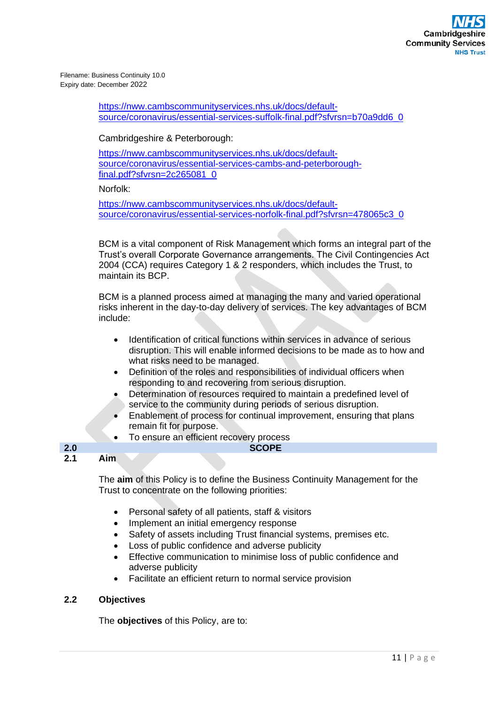> [https://nww.cambscommunityservices.nhs.uk/docs/default](https://nww.cambscommunityservices.nhs.uk/docs/default-source/coronavirus/essential-services-suffolk-final.pdf?sfvrsn=b70a9dd6_0)[source/coronavirus/essential-services-suffolk-final.pdf?sfvrsn=b70a9dd6\\_0](https://nww.cambscommunityservices.nhs.uk/docs/default-source/coronavirus/essential-services-suffolk-final.pdf?sfvrsn=b70a9dd6_0)

## Cambridgeshire & Peterborough:

[https://nww.cambscommunityservices.nhs.uk/docs/default](https://nww.cambscommunityservices.nhs.uk/docs/default-source/coronavirus/essential-services-cambs-and-peterborough-final.pdf?sfvrsn=2c265081_0)[source/coronavirus/essential-services-cambs-and-peterborough](https://nww.cambscommunityservices.nhs.uk/docs/default-source/coronavirus/essential-services-cambs-and-peterborough-final.pdf?sfvrsn=2c265081_0)[final.pdf?sfvrsn=2c265081\\_0](https://nww.cambscommunityservices.nhs.uk/docs/default-source/coronavirus/essential-services-cambs-and-peterborough-final.pdf?sfvrsn=2c265081_0)

Norfolk:

[https://nww.cambscommunityservices.nhs.uk/docs/default](https://nww.cambscommunityservices.nhs.uk/docs/default-source/coronavirus/essential-services-norfolk-final.pdf?sfvrsn=478065c3_0)[source/coronavirus/essential-services-norfolk-final.pdf?sfvrsn=478065c3\\_0](https://nww.cambscommunityservices.nhs.uk/docs/default-source/coronavirus/essential-services-norfolk-final.pdf?sfvrsn=478065c3_0)

BCM is a vital component of Risk Management which forms an integral part of the Trust's overall Corporate Governance arrangements. The Civil Contingencies Act 2004 (CCA) requires Category 1 & 2 responders, which includes the Trust, to maintain its BCP.

BCM is a planned process aimed at managing the many and varied operational risks inherent in the day-to-day delivery of services. The key advantages of BCM include:

- Identification of critical functions within services in advance of serious disruption. This will enable informed decisions to be made as to how and what risks need to be managed.
- Definition of the roles and responsibilities of individual officers when responding to and recovering from serious disruption.
- Determination of resources required to maintain a predefined level of service to the community during periods of serious disruption.
- Enablement of process for continual improvement, ensuring that plans remain fit for purpose.
- To ensure an efficient recovery process

## **2.0 SCOPE 2.1 Aim**

The **aim** of this Policy is to define the Business Continuity Management for the Trust to concentrate on the following priorities:

- Personal safety of all patients, staff & visitors
- Implement an initial emergency response
- Safety of assets including Trust financial systems, premises etc.
- Loss of public confidence and adverse publicity
- Effective communication to minimise loss of public confidence and adverse publicity
- Facilitate an efficient return to normal service provision

## **2.2 Objectives**

The **objectives** of this Policy, are to: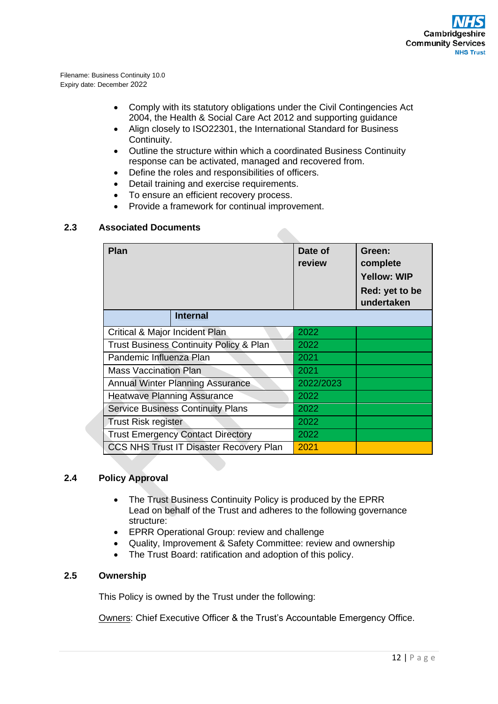- Comply with its statutory obligations under the Civil Contingencies Act 2004, the Health & Social Care Act 2012 and supporting guidance
- Align closely to ISO22301, the International Standard for Business Continuity.
- Outline the structure within which a coordinated Business Continuity response can be activated, managed and recovered from.
- Define the roles and responsibilities of officers.
- Detail training and exercise requirements.
- To ensure an efficient recovery process.
- Provide a framework for continual improvement.

## **2.3 Associated Documents**

| Plan                                               | Date of<br>review | Green:<br>complete<br><b>Yellow: WIP</b><br>Red: yet to be<br>undertaken |
|----------------------------------------------------|-------------------|--------------------------------------------------------------------------|
| <b>Internal</b>                                    |                   |                                                                          |
| Critical & Major Incident Plan                     | 2022              |                                                                          |
| <b>Trust Business Continuity Policy &amp; Plan</b> | 2022              |                                                                          |
| Pandemic Influenza Plan                            | 2021              |                                                                          |
| <b>Mass Vaccination Plan</b>                       | 2021              |                                                                          |
| <b>Annual Winter Planning Assurance</b>            | 2022/2023         |                                                                          |
| <b>Heatwave Planning Assurance</b>                 | 2022              |                                                                          |
| <b>Service Business Continuity Plans</b>           | 2022              |                                                                          |
| <b>Trust Risk register</b>                         | 2022              |                                                                          |
| <b>Trust Emergency Contact Directory</b>           | 2022              |                                                                          |
| <b>CCS NHS Trust IT Disaster Recovery Plan</b>     | 2021              |                                                                          |

## **2.4 Policy Approval**

- The Trust Business Continuity Policy is produced by the EPRR Lead on behalf of the Trust and adheres to the following governance structure:
- EPRR Operational Group: review and challenge
- Quality, Improvement & Safety Committee: review and ownership
- The Trust Board: ratification and adoption of this policy.

## **2.5 Ownership**

This Policy is owned by the Trust under the following:

Owners: Chief Executive Officer & the Trust's Accountable Emergency Office.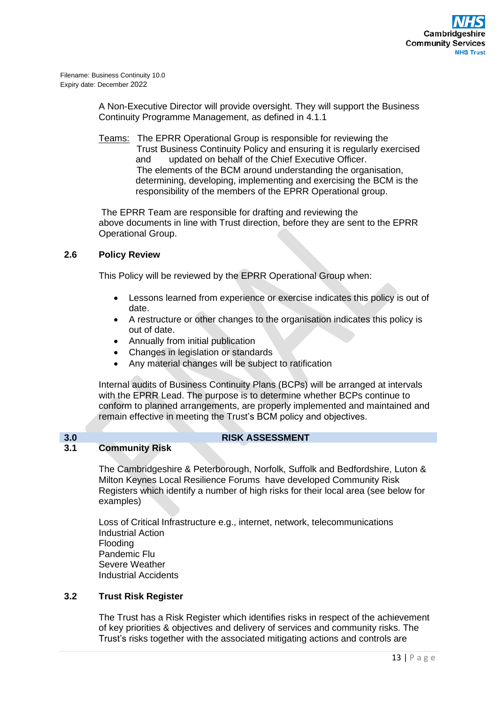> A Non-Executive Director will provide oversight. They will support the Business Continuity Programme Management, as defined in 4.1.1

> Teams: The EPRR Operational Group is responsible for reviewing the Trust Business Continuity Policy and ensuring it is regularly exercised and updated on behalf of the Chief Executive Officer. The elements of the BCM around understanding the organisation, determining, developing, implementing and exercising the BCM is the responsibility of the members of the EPRR Operational group.

> The EPRR Team are responsible for drafting and reviewing the above documents in line with Trust direction, before they are sent to the EPRR Operational Group.

## **2.6 Policy Review**

This Policy will be reviewed by the EPRR Operational Group when:

- Lessons learned from experience or exercise indicates this policy is out of date.
- A restructure or other changes to the organisation indicates this policy is out of date.
- Annually from initial publication
- Changes in legislation or standards
- Any material changes will be subject to ratification

Internal audits of Business Continuity Plans (BCPs) will be arranged at intervals with the EPRR Lead. The purpose is to determine whether BCPs continue to conform to planned arrangements, are properly implemented and maintained and remain effective in meeting the Trust's BCM policy and objectives.

## **3.0 RISK ASSESSMENT**

## **3.1 Community Risk**

The Cambridgeshire & Peterborough, Norfolk, Suffolk and Bedfordshire, Luton & Milton Keynes Local Resilience Forums have developed Community Risk Registers which identify a number of high risks for their local area (see below for examples)

Loss of Critical Infrastructure e.g., internet, network, telecommunications Industrial Action Flooding Pandemic Flu Severe Weather Industrial Accidents

## **3.2 Trust Risk Register**

The Trust has a Risk Register which identifies risks in respect of the achievement of key priorities & objectives and delivery of services and community risks. The Trust's risks together with the associated mitigating actions and controls are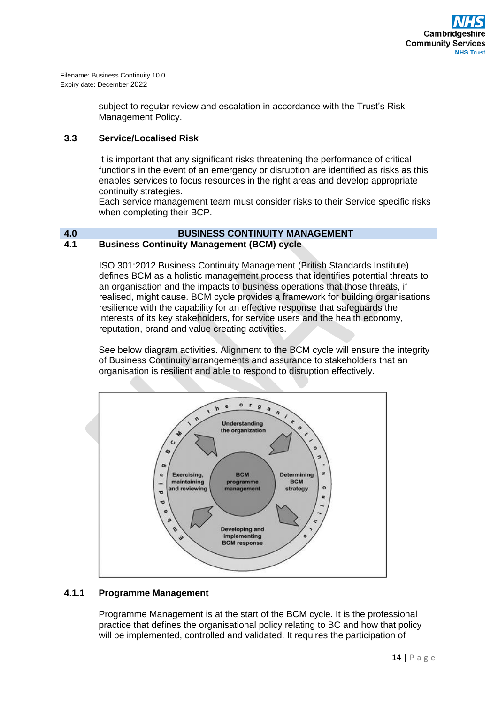> subject to regular review and escalation in accordance with the Trust's Risk Management Policy.

## **3.3 Service/Localised Risk**

It is important that any significant risks threatening the performance of critical functions in the event of an emergency or disruption are identified as risks as this enables services to focus resources in the right areas and develop appropriate continuity strategies.

Each service management team must consider risks to their Service specific risks when completing their BCP.

## **4.0 BUSINESS CONTINUITY MANAGEMENT 4.1 Business Continuity Management (BCM) cycle**

ISO 301:2012 Business Continuity Management (British Standards Institute) defines BCM as a holistic management process that identifies potential threats to an organisation and the impacts to business operations that those threats, if realised, might cause. BCM cycle provides a framework for building organisations resilience with the capability for an effective response that safeguards the interests of its key stakeholders, for service users and the health economy, reputation, brand and value creating activities.

See below diagram activities. Alignment to the BCM cycle will ensure the integrity of Business Continuity arrangements and assurance to stakeholders that an organisation is resilient and able to respond to disruption effectively.



## **4.1.1 Programme Management**

Programme Management is at the start of the BCM cycle. It is the professional practice that defines the organisational policy relating to BC and how that policy will be implemented, controlled and validated. It requires the participation of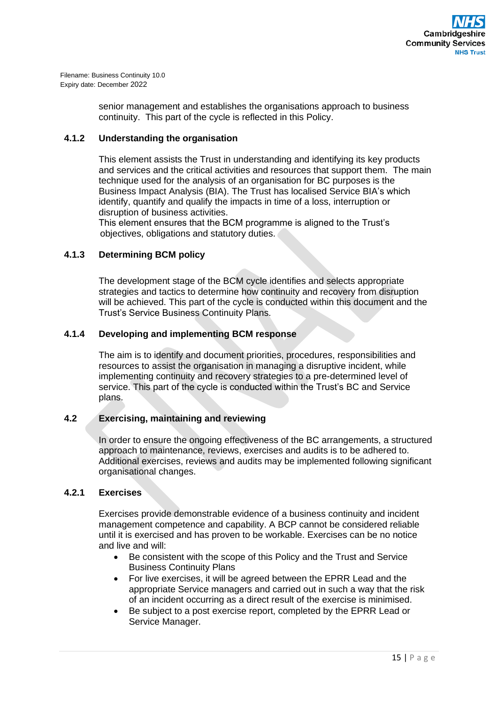> senior management and establishes the organisations approach to business continuity. This part of the cycle is reflected in this Policy.

## **4.1.2 Understanding the organisation**

This element assists the Trust in understanding and identifying its key products and services and the critical activities and resources that support them. The main technique used for the analysis of an organisation for BC purposes is the Business Impact Analysis (BIA). The Trust has localised Service BIA's which identify, quantify and qualify the impacts in time of a loss, interruption or disruption of business activities.

This element ensures that the BCM programme is aligned to the Trust's objectives, obligations and statutory duties.

## **4.1.3 Determining BCM policy**

The development stage of the BCM cycle identifies and selects appropriate strategies and tactics to determine how continuity and recovery from disruption will be achieved. This part of the cycle is conducted within this document and the Trust's Service Business Continuity Plans.

## **4.1.4 Developing and implementing BCM response**

The aim is to identify and document priorities, procedures, responsibilities and resources to assist the organisation in managing a disruptive incident, while implementing continuity and recovery strategies to a pre-determined level of service. This part of the cycle is conducted within the Trust's BC and Service plans.

## **4.2 Exercising, maintaining and reviewing**

In order to ensure the ongoing effectiveness of the BC arrangements, a structured approach to maintenance, reviews, exercises and audits is to be adhered to. Additional exercises, reviews and audits may be implemented following significant organisational changes.

## **4.2.1 Exercises**

Exercises provide demonstrable evidence of a business continuity and incident management competence and capability. A BCP cannot be considered reliable until it is exercised and has proven to be workable. Exercises can be no notice and live and will:

- Be consistent with the scope of this Policy and the Trust and Service Business Continuity Plans
- For live exercises, it will be agreed between the EPRR Lead and the appropriate Service managers and carried out in such a way that the risk of an incident occurring as a direct result of the exercise is minimised.
- Be subject to a post exercise report, completed by the EPRR Lead or Service Manager.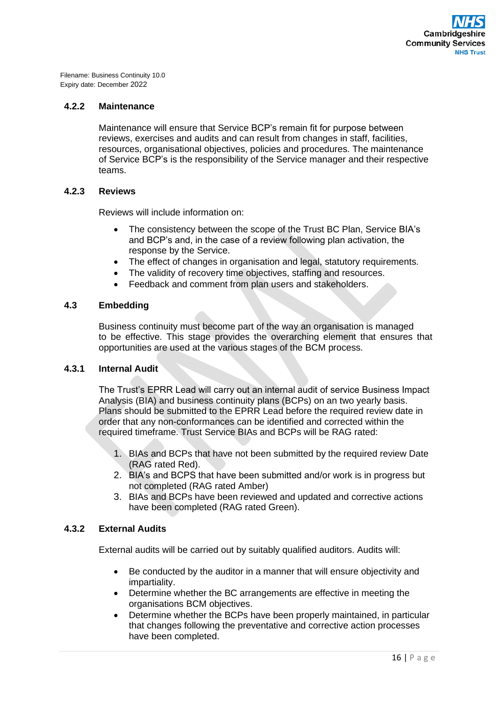## **4.2.2 Maintenance**

Maintenance will ensure that Service BCP's remain fit for purpose between reviews, exercises and audits and can result from changes in staff, facilities, resources, organisational objectives, policies and procedures. The maintenance of Service BCP's is the responsibility of the Service manager and their respective teams.

## **4.2.3 Reviews**

Reviews will include information on:

- The consistency between the scope of the Trust BC Plan, Service BIA's and BCP's and, in the case of a review following plan activation, the response by the Service.
- The effect of changes in organisation and legal, statutory requirements.
- The validity of recovery time objectives, staffing and resources.
- Feedback and comment from plan users and stakeholders.

## **4.3 Embedding**

Business continuity must become part of the way an organisation is managed to be effective. This stage provides the overarching element that ensures that opportunities are used at the various stages of the BCM process.

## **4.3.1 Internal Audit**

The Trust's EPRR Lead will carry out an internal audit of service Business Impact Analysis (BIA) and business continuity plans (BCPs) on an two yearly basis. Plans should be submitted to the EPRR Lead before the required review date in order that any non-conformances can be identified and corrected within the required timeframe. Trust Service BIAs and BCPs will be RAG rated:

- 1. BIAs and BCPs that have not been submitted by the required review Date (RAG rated Red).
- 2. BIA's and BCPS that have been submitted and/or work is in progress but not completed (RAG rated Amber)
- 3. BIAs and BCPs have been reviewed and updated and corrective actions have been completed (RAG rated Green).

## **4.3.2 External Audits**

External audits will be carried out by suitably qualified auditors. Audits will:

- Be conducted by the auditor in a manner that will ensure objectivity and impartiality.
- Determine whether the BC arrangements are effective in meeting the organisations BCM objectives.
- Determine whether the BCPs have been properly maintained, in particular that changes following the preventative and corrective action processes have been completed.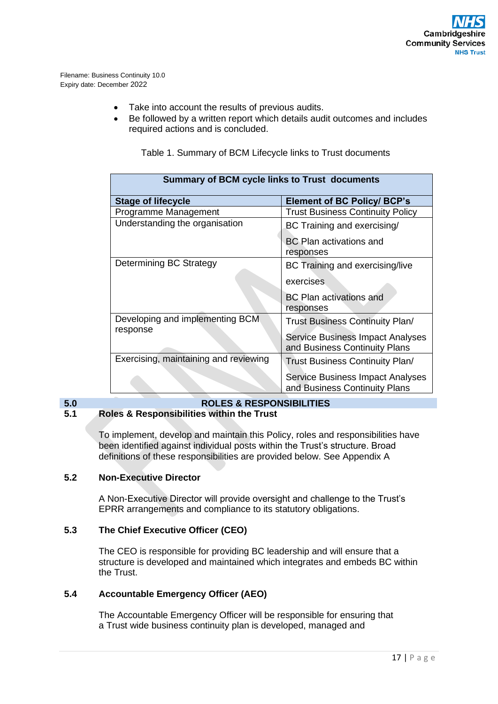- Take into account the results of previous audits.
- Be followed by a written report which details audit outcomes and includes required actions and is concluded.

| <b>Summary of BCM cycle links to Trust documents</b> |                                                                          |  |  |  |  |
|------------------------------------------------------|--------------------------------------------------------------------------|--|--|--|--|
| <b>Stage of lifecycle</b>                            | <b>Element of BC Policy/ BCP's</b>                                       |  |  |  |  |
| Programme Management                                 | <b>Trust Business Continuity Policy</b>                                  |  |  |  |  |
| Understanding the organisation                       | BC Training and exercising/                                              |  |  |  |  |
|                                                      | <b>BC Plan activations and</b><br>responses                              |  |  |  |  |
| Determining BC Strategy                              | BC Training and exercising/live                                          |  |  |  |  |
|                                                      | exercises                                                                |  |  |  |  |
|                                                      | <b>BC Plan activations and</b><br>responses                              |  |  |  |  |
| Developing and implementing BCM<br>response          | Trust Business Continuity Plan/                                          |  |  |  |  |
|                                                      | <b>Service Business Impact Analyses</b><br>and Business Continuity Plans |  |  |  |  |
| Exercising, maintaining and reviewing                | <b>Trust Business Continuity Plan/</b>                                   |  |  |  |  |
|                                                      | Service Business Impact Analyses<br>and Business Continuity Plans        |  |  |  |  |

Table 1. Summary of BCM Lifecycle links to Trust documents

## **5.0 ROLES & RESPONSIBILITIES 5.1 Roles & Responsibilities within the Trust**

To implement, develop and maintain this Policy, roles and responsibilities have been identified against individual posts within the Trust's structure. Broad definitions of these responsibilities are provided below. See Appendix A

## **5.2 Non-Executive Director**

A Non-Executive Director will provide oversight and challenge to the Trust's EPRR arrangements and compliance to its statutory obligations.

## **5.3 The Chief Executive Officer (CEO)**

The CEO is responsible for providing BC leadership and will ensure that a structure is developed and maintained which integrates and embeds BC within the Trust.

## **5.4 Accountable Emergency Officer (AEO)**

The Accountable Emergency Officer will be responsible for ensuring that a Trust wide business continuity plan is developed, managed and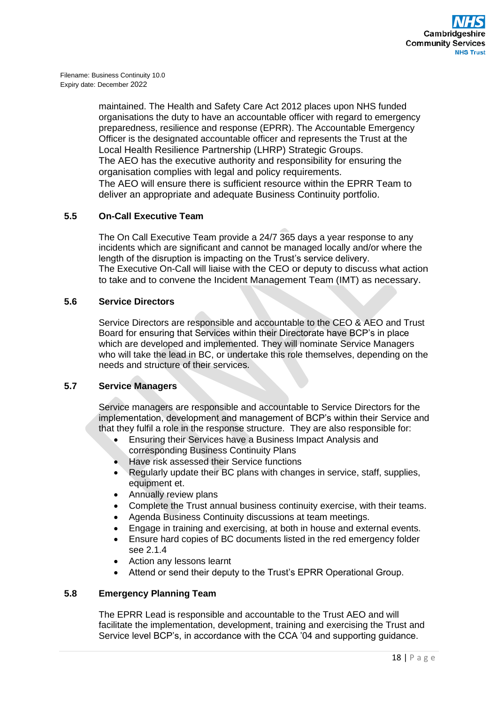maintained. The Health and Safety Care Act 2012 places upon NHS funded organisations the duty to have an accountable officer with regard to emergency preparedness, resilience and response (EPRR). The Accountable Emergency Officer is the designated accountable officer and represents the Trust at the Local Health Resilience Partnership (LHRP) Strategic Groups. The AEO has the executive authority and responsibility for ensuring the organisation complies with legal and policy requirements. The AEO will ensure there is sufficient resource within the EPRR Team to deliver an appropriate and adequate Business Continuity portfolio.

## **5.5 On-Call Executive Team**

The On Call Executive Team provide a 24/7 365 days a year response to any incidents which are significant and cannot be managed locally and/or where the length of the disruption is impacting on the Trust's service delivery. The Executive On-Call will liaise with the CEO or deputy to discuss what action to take and to convene the Incident Management Team (IMT) as necessary.

## **5.6 Service Directors**

Service Directors are responsible and accountable to the CEO & AEO and Trust Board for ensuring that Services within their Directorate have BCP's in place which are developed and implemented. They will nominate Service Managers who will take the lead in BC, or undertake this role themselves, depending on the needs and structure of their services.

## **5.7 Service Managers**

Service managers are responsible and accountable to Service Directors for the implementation, development and management of BCP's within their Service and that they fulfil a role in the response structure. They are also responsible for:

- Ensuring their Services have a Business Impact Analysis and corresponding Business Continuity Plans
- Have risk assessed their Service functions
- Regularly update their BC plans with changes in service, staff, supplies, equipment et.
- Annually review plans
- Complete the Trust annual business continuity exercise, with their teams.
- Agenda Business Continuity discussions at team meetings.
- Engage in training and exercising, at both in house and external events.
- Ensure hard copies of BC documents listed in the red emergency folder see 2.1.4
- Action any lessons learnt
- Attend or send their deputy to the Trust's EPRR Operational Group.

## **5.8 Emergency Planning Team**

The EPRR Lead is responsible and accountable to the Trust AEO and will facilitate the implementation, development, training and exercising the Trust and Service level BCP's, in accordance with the CCA '04 and supporting guidance.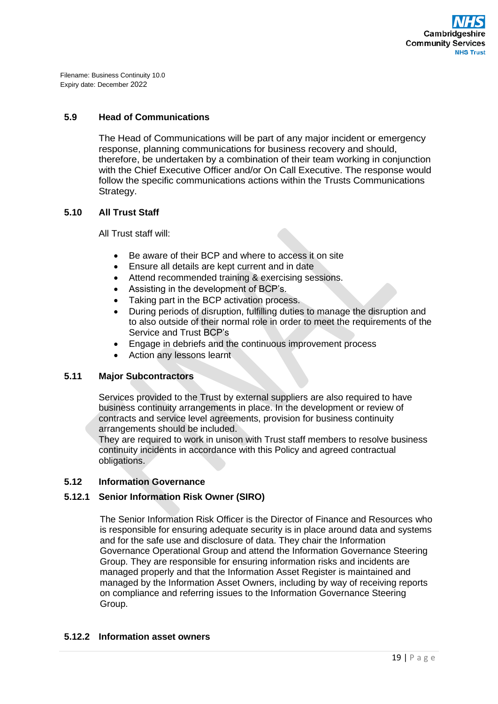## **5.9 Head of Communications**

The Head of Communications will be part of any major incident or emergency response, planning communications for business recovery and should, therefore, be undertaken by a combination of their team working in conjunction with the Chief Executive Officer and/or On Call Executive. The response would follow the specific communications actions within the Trusts Communications Strategy.

## **5.10 All Trust Staff**

All Trust staff will:

- Be aware of their BCP and where to access it on site
- Ensure all details are kept current and in date
- Attend recommended training & exercising sessions.
- Assisting in the development of BCP's.
- Taking part in the BCP activation process.
- During periods of disruption, fulfilling duties to manage the disruption and to also outside of their normal role in order to meet the requirements of the Service and Trust BCP's
- Engage in debriefs and the continuous improvement process
- Action any lessons learnt

## **5.11 Major Subcontractors**

Services provided to the Trust by external suppliers are also required to have business continuity arrangements in place. In the development or review of contracts and service level agreements, provision for business continuity arrangements should be included.

They are required to work in unison with Trust staff members to resolve business continuity incidents in accordance with this Policy and agreed contractual obligations.

## **5.12 Information Governance**

## **5.12.1 Senior Information Risk Owner (SIRO)**

The Senior Information Risk Officer is the Director of Finance and Resources who is responsible for ensuring adequate security is in place around data and systems and for the safe use and disclosure of data. They chair the Information Governance Operational Group and attend the Information Governance Steering Group. They are responsible for ensuring information risks and incidents are managed properly and that the Information Asset Register is maintained and managed by the Information Asset Owners, including by way of receiving reports on compliance and referring issues to the Information Governance Steering Group.

## **5.12.2 Information asset owners**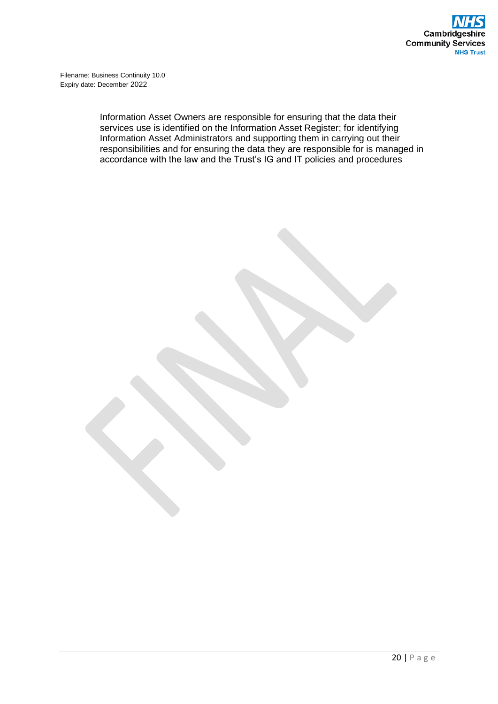> Information Asset Owners are responsible for ensuring that the data their services use is identified on the Information Asset Register; for identifying Information Asset Administrators and supporting them in carrying out their responsibilities and for ensuring the data they are responsible for is managed in accordance with the law and the Trust's IG and IT policies and procedures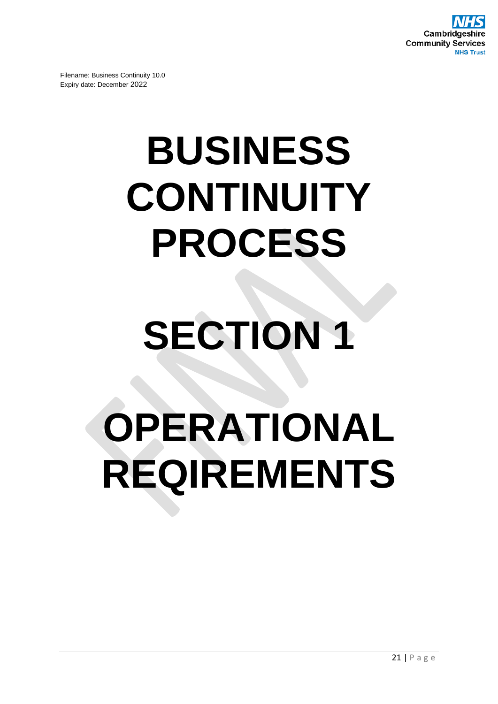

## **BUSINESS CONTINUITY PROCESS**

## **SECTION 1**

## **OPERATIONAL REQIREMENTS**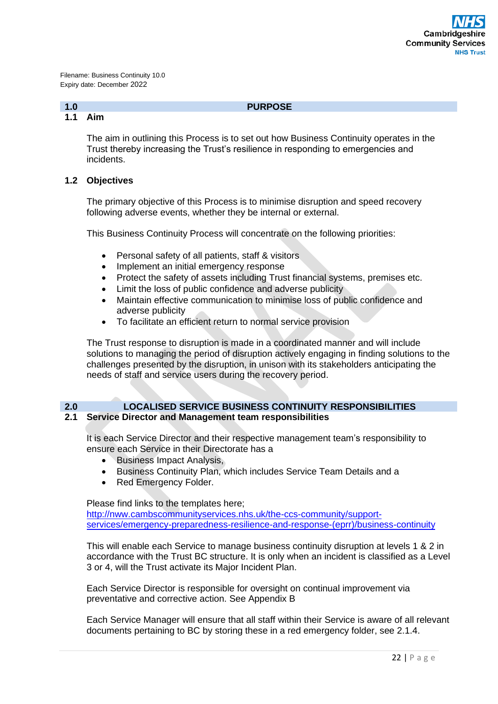## **1.0 PURPOSE**

## **1.1 Aim**

The aim in outlining this Process is to set out how Business Continuity operates in the Trust thereby increasing the Trust's resilience in responding to emergencies and incidents.

## **1.2 Objectives**

The primary objective of this Process is to minimise disruption and speed recovery following adverse events, whether they be internal or external.

This Business Continuity Process will concentrate on the following priorities:

- Personal safety of all patients, staff & visitors
- Implement an initial emergency response
- Protect the safety of assets including Trust financial systems, premises etc.
- Limit the loss of public confidence and adverse publicity
- Maintain effective communication to minimise loss of public confidence and adverse publicity
- To facilitate an efficient return to normal service provision

The Trust response to disruption is made in a coordinated manner and will include solutions to managing the period of disruption actively engaging in finding solutions to the challenges presented by the disruption, in unison with its stakeholders anticipating the needs of staff and service users during the recovery period.

## **2.0 LOCALISED SERVICE BUSINESS CONTINUITY RESPONSIBILITIES**

## **2.1 Service Director and Management team responsibilities**

It is each Service Director and their respective management team's responsibility to ensure each Service in their Directorate has a

- Business Impact Analysis,
- Business Continuity Plan, which includes Service Team Details and a
- Red Emergency Folder.

Please find links to the templates here;

[http://nww.cambscommunityservices.nhs.uk/the-ccs-community/support](http://nww.cambscommunityservices.nhs.uk/the-ccs-community/support-services/emergency-preparedness-resilience-and-response-(eprr)/business-continuity)[services/emergency-preparedness-resilience-and-response-\(eprr\)/business-continuity](http://nww.cambscommunityservices.nhs.uk/the-ccs-community/support-services/emergency-preparedness-resilience-and-response-(eprr)/business-continuity)

This will enable each Service to manage business continuity disruption at levels 1 & 2 in accordance with the Trust BC structure. It is only when an incident is classified as a Level 3 or 4, will the Trust activate its Major Incident Plan.

Each Service Director is responsible for oversight on continual improvement via preventative and corrective action. See Appendix B

Each Service Manager will ensure that all staff within their Service is aware of all relevant documents pertaining to BC by storing these in a red emergency folder, see 2.1.4.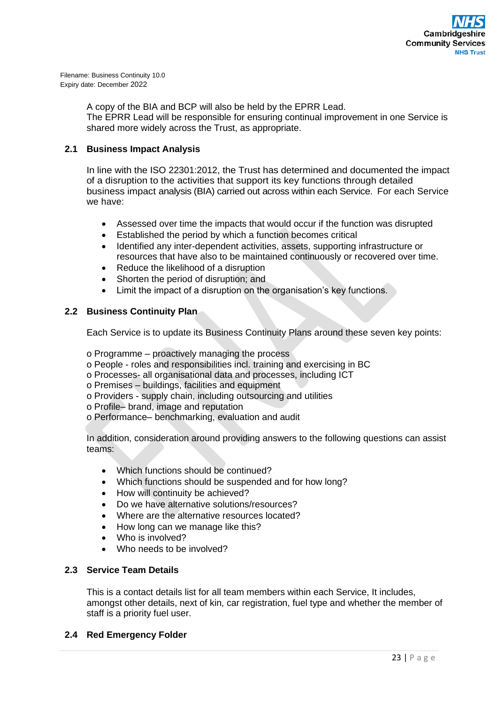

> A copy of the BIA and BCP will also be held by the EPRR Lead. The EPRR Lead will be responsible for ensuring continual improvement in one Service is shared more widely across the Trust, as appropriate.

## **2.1 Business Impact Analysis**

In line with the ISO 22301:2012, the Trust has determined and documented the impact of a disruption to the activities that support its key functions through detailed business impact analysis (BIA) carried out across within each Service. For each Service we have:

- Assessed over time the impacts that would occur if the function was disrupted
- Established the period by which a function becomes critical
- Identified any inter-dependent activities, assets, supporting infrastructure or resources that have also to be maintained continuously or recovered over time.
- Reduce the likelihood of a disruption
- Shorten the period of disruption; and
- Limit the impact of a disruption on the organisation's key functions.

## **2.2 Business Continuity Plan**

Each Service is to update its Business Continuity Plans around these seven key points:

o Programme – proactively managing the process

- o People roles and responsibilities incl. training and exercising in BC
- o Processes- all organisational data and processes, including ICT
- o Premises buildings, facilities and equipment
- o Providers supply chain, including outsourcing and utilities
- o Profile– brand, image and reputation
- o Performance– benchmarking, evaluation and audit

In addition, consideration around providing answers to the following questions can assist teams:

- Which functions should be continued?
- Which functions should be suspended and for how long?
- How will continuity be achieved?
- Do we have alternative solutions/resources?
- Where are the alternative resources located?
- How long can we manage like this?
- Who is involved?
- Who needs to be involved?

## **2.3 Service Team Details**

This is a contact details list for all team members within each Service, It includes, amongst other details, next of kin, car registration, fuel type and whether the member of staff is a priority fuel user.

## **2.4 Red Emergency Folder**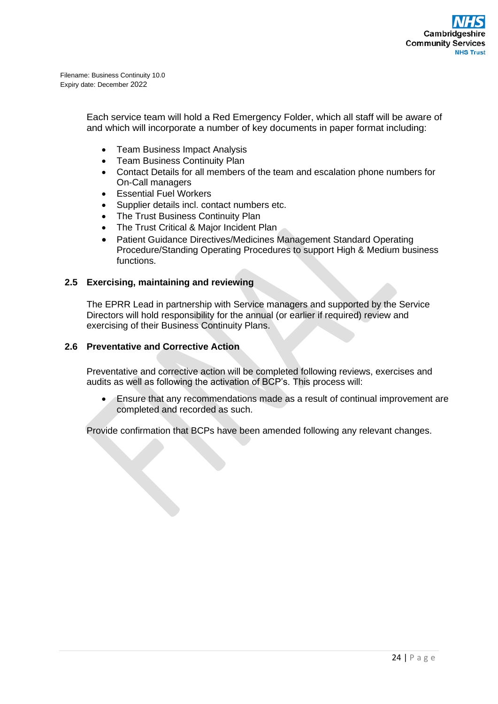> Each service team will hold a Red Emergency Folder, which all staff will be aware of and which will incorporate a number of key documents in paper format including:

- Team Business Impact Analysis
- Team Business Continuity Plan
- Contact Details for all members of the team and escalation phone numbers for On-Call managers
- Essential Fuel Workers
- Supplier details incl. contact numbers etc.
- The Trust Business Continuity Plan
- The Trust Critical & Major Incident Plan
- Patient Guidance Directives/Medicines Management Standard Operating Procedure/Standing Operating Procedures to support High & Medium business functions.

## **2.5 Exercising, maintaining and reviewing**

The EPRR Lead in partnership with Service managers and supported by the Service Directors will hold responsibility for the annual (or earlier if required) review and exercising of their Business Continuity Plans.

## **2.6 Preventative and Corrective Action**

Preventative and corrective action will be completed following reviews, exercises and audits as well as following the activation of BCP's. This process will:

• Ensure that any recommendations made as a result of continual improvement are completed and recorded as such.

Provide confirmation that BCPs have been amended following any relevant changes.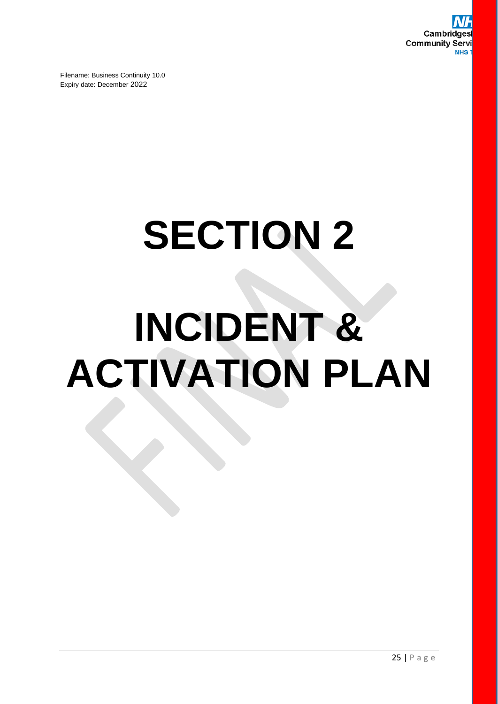# **SECTION 2 INCIDENT & ACTIVATION PLAN**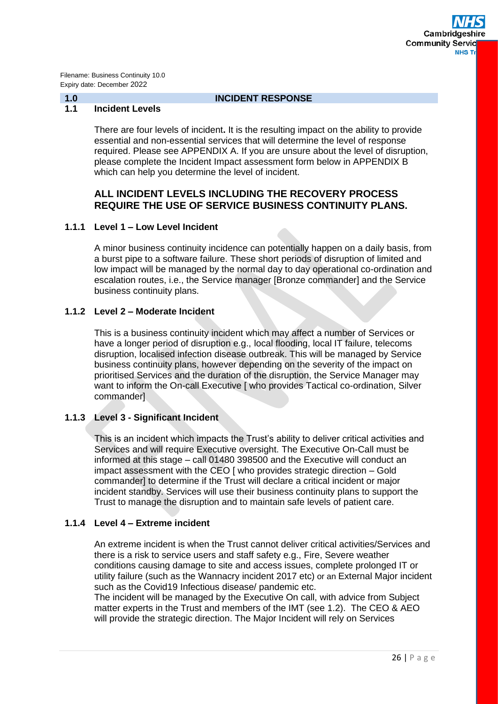## **1.0 INCIDENT RESPONSE**

## **1.1 Incident Levels**

There are four levels of incident**.** It is the resulting impact on the ability to provide essential and non-essential services that will determine the level of response required. Please see APPENDIX A. If you are unsure about the level of disruption, please complete the Incident Impact assessment form below in APPENDIX B which can help you determine the level of incident.

## **ALL INCIDENT LEVELS INCLUDING THE RECOVERY PROCESS REQUIRE THE USE OF SERVICE BUSINESS CONTINUITY PLANS.**

## **1.1.1 Level 1 – Low Level Incident**

A minor business continuity incidence can potentially happen on a daily basis, from a burst pipe to a software failure. These short periods of disruption of limited and low impact will be managed by the normal day to day operational co-ordination and escalation routes, i.e., the Service manager [Bronze commander] and the Service business continuity plans.

## **1.1.2 Level 2 – Moderate Incident**

This is a business continuity incident which may affect a number of Services or have a longer period of disruption e.g., local flooding, local IT failure, telecoms disruption, localised infection disease outbreak. This will be managed by Service business continuity plans, however depending on the severity of the impact on prioritised Services and the duration of the disruption, the Service Manager may want to inform the On-call Executive [ who provides Tactical co-ordination, Silver commander]

## **1.1.3 Level 3 - Significant Incident**

This is an incident which impacts the Trust's ability to deliver critical activities and Services and will require Executive oversight. The Executive On-Call must be informed at this stage – call 01480 398500 and the Executive will conduct an impact assessment with the CEO [ who provides strategic direction – Gold commander] to determine if the Trust will declare a critical incident or major incident standby. Services will use their business continuity plans to support the Trust to manage the disruption and to maintain safe levels of patient care.

## **1.1.4 Level 4 – Extreme incident**

An extreme incident is when the Trust cannot deliver critical activities/Services and there is a risk to service users and staff safety e.g., Fire, Severe weather conditions causing damage to site and access issues, complete prolonged IT or utility failure (such as the Wannacry incident 2017 etc) or an External Major incident such as the Covid19 Infectious disease/ pandemic etc.

The incident will be managed by the Executive On call, with advice from Subject matter experts in the Trust and members of the IMT (see 1.2). The CEO & AEO will provide the strategic direction. The Major Incident will rely on Services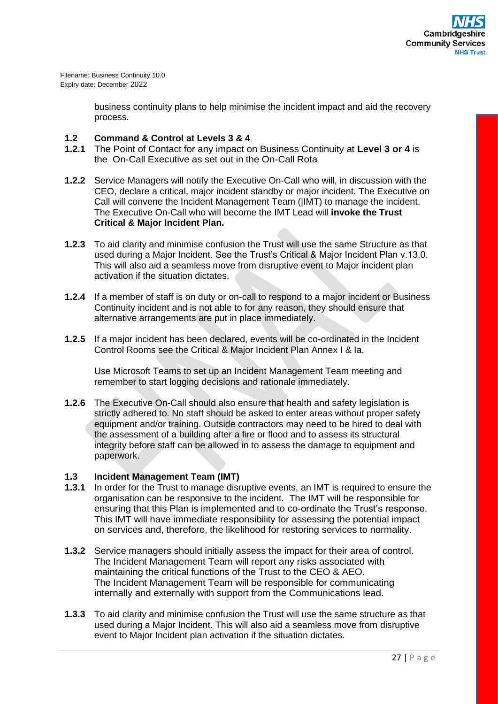> business continuity plans to help minimise the incident impact and aid the recovery process.

## **1.2 Command & Control at Levels 3 & 4**

- **1.2.1** The Point of Contact for any impact on Business Continuity at **Level 3 or 4** is the On-Call Executive as set out in the On-Call Rota
- **1.2.2** Service Managers will notify the Executive On-Call who will, in discussion with the CEO, declare a critical, major incident standby or major incident. The Executive on Call will convene the Incident Management Team (|IMT) to manage the incident. The Executive On-Call who will become the IMT Lead will **invoke the Trust Critical & Major Incident Plan.**
- **1.2.3** To aid clarity and minimise confusion the Trust will use the same Structure as that used during a Major Incident. See the Trust's Critical & Major Incident Plan v.13.0. This will also aid a seamless move from disruptive event to Major incident plan activation if the situation dictates.
- **1.2.4** If a member of staff is on duty or on-call to respond to a major incident or Business Continuity incident and is not able to for any reason, they should ensure that alternative arrangements are put in place immediately.
- **1.2.5** If a major incident has been declared, events will be co-ordinated in the Incident Control Rooms see the Critical & Major Incident Plan Annex I & Ia.

Use Microsoft Teams to set up an Incident Management Team meeting and remember to start logging decisions and rationale immediately.

**1.2.6** The Executive On-Call should also ensure that health and safety legislation is strictly adhered to. No staff should be asked to enter areas without proper safety equipment and/or training. Outside contractors may need to be hired to deal with the assessment of a building after a fire or flood and to assess its structural integrity before staff can be allowed in to assess the damage to equipment and paperwork.

## **1.3 Incident Management Team (IMT)**

- **1.3.1** In order for the Trust to manage disruptive events, an IMT is required to ensure the organisation can be responsive to the incident. The IMT will be responsible for ensuring that this Plan is implemented and to co-ordinate the Trust's response. This IMT will have immediate responsibility for assessing the potential impact on services and, therefore, the likelihood for restoring services to normality.
- **1.3.2** Service managers should initially assess the impact for their area of control. The Incident Management Team will report any risks associated with maintaining the critical functions of the Trust to the CEO & AEO. The Incident Management Team will be responsible for communicating internally and externally with support from the Communications lead.
- **1.3.3** To aid clarity and minimise confusion the Trust will use the same structure as that used during a Major Incident. This will also aid a seamless move from disruptive event to Major Incident plan activation if the situation dictates.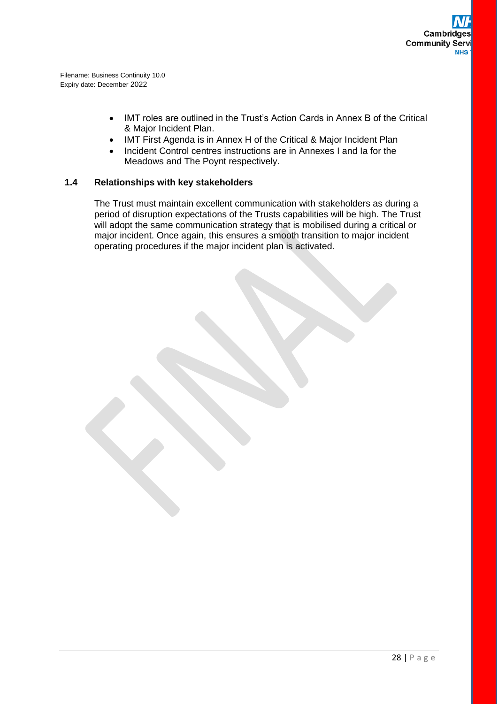- IMT roles are outlined in the Trust's Action Cards in Annex B of the Critical & Major Incident Plan.
- IMT First Agenda is in Annex H of the Critical & Major Incident Plan
- Incident Control centres instructions are in Annexes I and Ia for the Meadows and The Poynt respectively.

## **1.4 Relationships with key stakeholders**

The Trust must maintain excellent communication with stakeholders as during a period of disruption expectations of the Trusts capabilities will be high. The Trust will adopt the same communication strategy that is mobilised during a critical or major incident. Once again, this ensures a smooth transition to major incident operating procedures if the major incident plan is activated.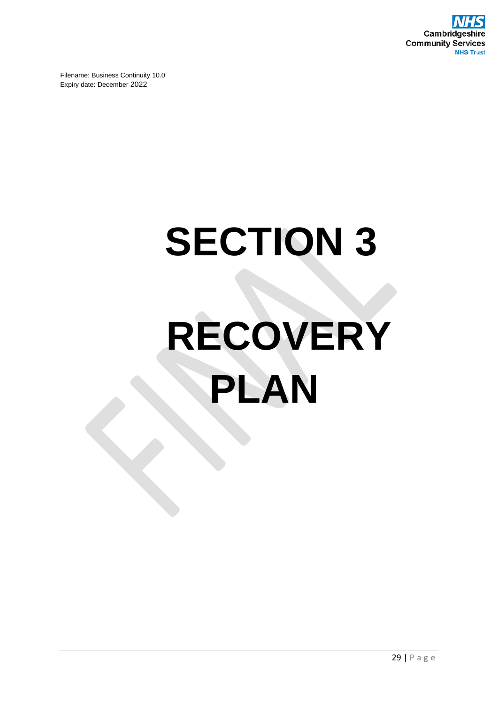

# **SECTION 3 RECOVERY PLAN**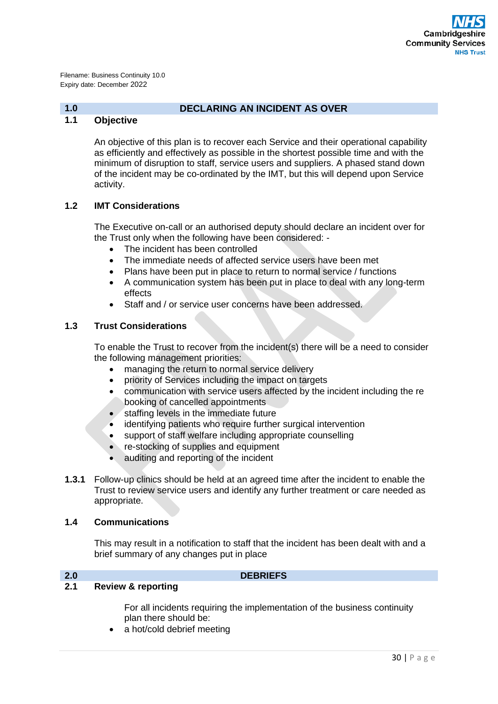## **1.0 DECLARING AN INCIDENT AS OVER**

## **1.1 Objective**

An objective of this plan is to recover each Service and their operational capability as efficiently and effectively as possible in the shortest possible time and with the minimum of disruption to staff, service users and suppliers. A phased stand down of the incident may be co-ordinated by the IMT, but this will depend upon Service activity.

## **1.2 IMT Considerations**

The Executive on-call or an authorised deputy should declare an incident over for the Trust only when the following have been considered: -

- The incident has been controlled
- The immediate needs of affected service users have been met
- Plans have been put in place to return to normal service / functions
- A communication system has been put in place to deal with any long-term effects
- Staff and / or service user concerns have been addressed.

## **1.3 Trust Considerations**

To enable the Trust to recover from the incident(s) there will be a need to consider the following management priorities:

- managing the return to normal service delivery
- priority of Services including the impact on targets
- communication with service users affected by the incident including the re booking of cancelled appointments
- staffing levels in the immediate future
- identifying patients who require further surgical intervention
- support of staff welfare including appropriate counselling
- re-stocking of supplies and equipment
- auditing and reporting of the incident
- **1.3.1** Follow-up clinics should be held at an agreed time after the incident to enable the Trust to review service users and identify any further treatment or care needed as appropriate.

## **1.4 Communications**

This may result in a notification to staff that the incident has been dealt with and a brief summary of any changes put in place

## **2.0 DEBRIEFS**

## **2.1 Review & reporting**

For all incidents requiring the implementation of the business continuity plan there should be:

a hot/cold debrief meeting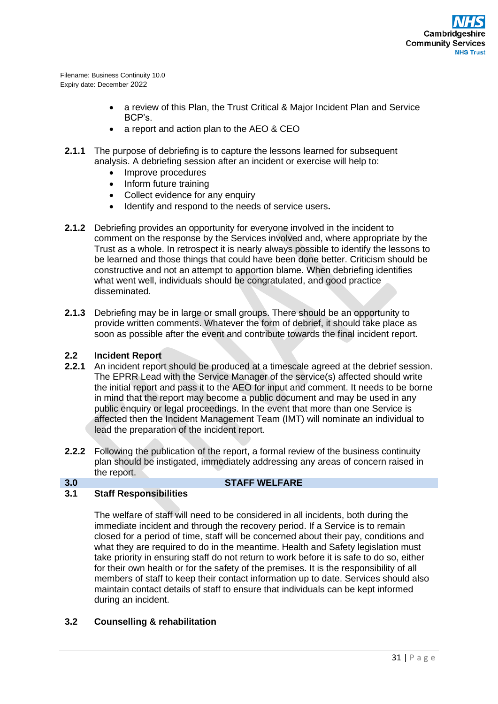- a review of this Plan, the Trust Critical & Maior Incident Plan and Service BCP's.
- a report and action plan to the AEO & CEO
- **2.1.1** The purpose of debriefing is to capture the lessons learned for subsequent analysis. A debriefing session after an incident or exercise will help to:
	- Improve procedures
	- Inform future training
	- Collect evidence for any enquiry
	- Identify and respond to the needs of service users**.**
- **2.1.2** Debriefing provides an opportunity for everyone involved in the incident to comment on the response by the Services involved and, where appropriate by the Trust as a whole. In retrospect it is nearly always possible to identify the lessons to be learned and those things that could have been done better. Criticism should be constructive and not an attempt to apportion blame. When debriefing identifies what went well, individuals should be congratulated, and good practice disseminated.
- **2.1.3** Debriefing may be in large or small groups. There should be an opportunity to provide written comments. Whatever the form of debrief, it should take place as soon as possible after the event and contribute towards the final incident report.

## **2.2 Incident Report**

- **2.2.1** An incident report should be produced at a timescale agreed at the debrief session. The EPRR Lead with the Service Manager of the service(s) affected should write the initial report and pass it to the AEO for input and comment. It needs to be borne in mind that the report may become a public document and may be used in any public enquiry or legal proceedings. In the event that more than one Service is affected then the Incident Management Team (IMT) will nominate an individual to lead the preparation of the incident report.
- **2.2.2** Following the publication of the report, a formal review of the business continuity plan should be instigated, immediately addressing any areas of concern raised in the report.
- 

## **3.0 STAFF WELFARE**

## **3.1 Staff Responsibilities**

The welfare of staff will need to be considered in all incidents, both during the immediate incident and through the recovery period. If a Service is to remain closed for a period of time, staff will be concerned about their pay, conditions and what they are required to do in the meantime. Health and Safety legislation must take priority in ensuring staff do not return to work before it is safe to do so, either for their own health or for the safety of the premises. It is the responsibility of all members of staff to keep their contact information up to date. Services should also maintain contact details of staff to ensure that individuals can be kept informed during an incident.

## **3.2 Counselling & rehabilitation**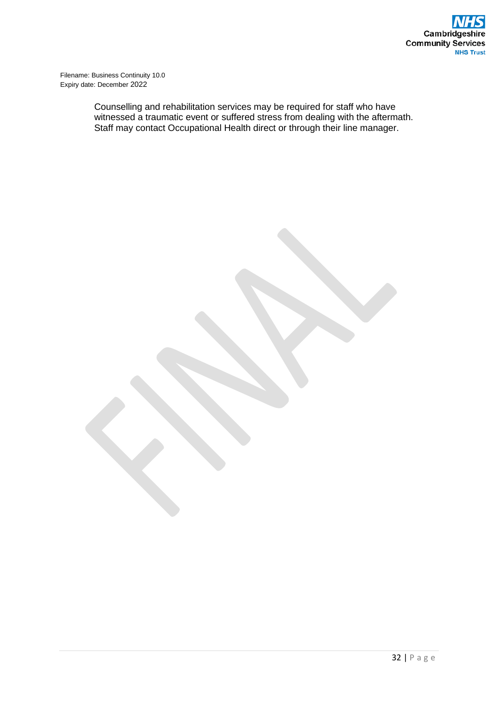> Counselling and rehabilitation services may be required for staff who have witnessed a traumatic event or suffered stress from dealing with the aftermath. Staff may contact Occupational Health direct or through their line manager.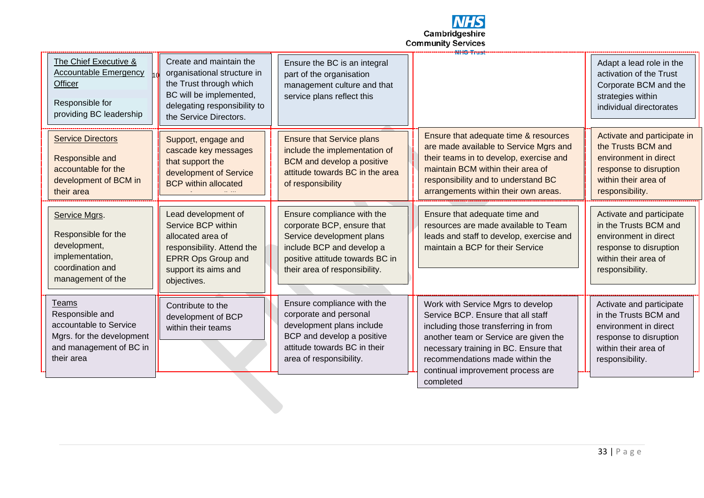

| The Chief Executive &<br><b>Accountable Emergency</b><br>Officer<br>Responsible for<br>providing BC leadership           | Create and maintain the<br>organisational structure in<br>the Trust through which<br>BC will be implemented,<br>delegating responsibility to<br>the Service Directors. | Ensure the BC is an integral<br>part of the organisation<br>management culture and that<br>service plans reflect this                                                                  | <del>NHS Trust</del>                                                                                                                                                                                                                                                                   | Adapt a lead role in the<br>activation of the Trust<br>Corporate BCM and the<br>strategies within<br>individual directorates                    |
|--------------------------------------------------------------------------------------------------------------------------|------------------------------------------------------------------------------------------------------------------------------------------------------------------------|----------------------------------------------------------------------------------------------------------------------------------------------------------------------------------------|----------------------------------------------------------------------------------------------------------------------------------------------------------------------------------------------------------------------------------------------------------------------------------------|-------------------------------------------------------------------------------------------------------------------------------------------------|
| <b>Service Directors</b><br>Responsible and<br>accountable for the<br>development of BCM in<br>their area                | Support, engage and<br>cascade key messages<br>that support the<br>development of Service<br><b>BCP</b> within allocated                                               | <b>Ensure that Service plans</b><br>include the implementation of<br><b>BCM</b> and develop a positive<br>attitude towards BC in the area<br>of responsibility                         | Ensure that adequate time & resources<br>are made available to Service Mgrs and<br>their teams in to develop, exercise and<br>maintain BCM within their area of<br>responsibility and to understand BC<br>arrangements within their own areas.                                         | Activate and participate in<br>the Trusts BCM and<br>environment in direct<br>response to disruption<br>within their area of<br>responsibility. |
| Service Mgrs.<br>Responsible for the<br>development,<br>implementation,<br>coordination and<br>management of the         | Lead development of<br>Service BCP within<br>allocated area of<br>responsibility. Attend the<br><b>EPRR Ops Group and</b><br>support its aims and<br>objectives.       | Ensure compliance with the<br>corporate BCP, ensure that<br>Service development plans<br>include BCP and develop a<br>positive attitude towards BC in<br>their area of responsibility. | Ensure that adequate time and<br>resources are made available to Team<br>leads and staff to develop, exercise and<br>maintain a BCP for their Service                                                                                                                                  | Activate and participate<br>in the Trusts BCM and<br>environment in direct<br>response to disruption<br>within their area of<br>responsibility. |
| Teams<br>Responsible and<br>accountable to Service<br>Mgrs. for the development<br>and management of BC in<br>their area | Contribute to the<br>development of BCP<br>within their teams                                                                                                          | Ensure compliance with the<br>corporate and personal<br>development plans include<br>BCP and develop a positive<br>attitude towards BC in their<br>area of responsibility.             | Work with Service Mgrs to develop<br>Service BCP. Ensure that all staff<br>including those transferring in from<br>another team or Service are given the<br>necessary training in BC. Ensure that<br>recommendations made within the<br>continual improvement process are<br>completed | Activate and participate<br>in the Trusts BCM and<br>environment in direct<br>response to disruption<br>within their area of<br>responsibility. |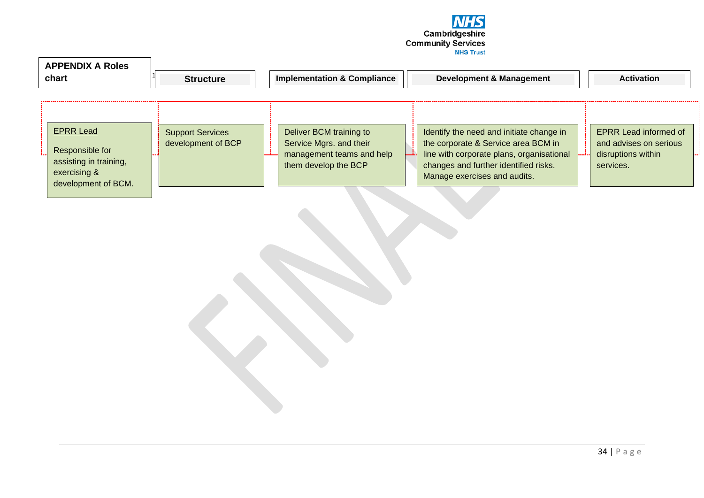

| <b>APPENDIX A Roles</b><br>chart                                                                     | <b>Structure</b>                              | <b>Implementation &amp; Compliance</b>                                                                  | <b>Development &amp; Management</b>                                                                                                                                                                   | <b>Activation</b>                                                                         |
|------------------------------------------------------------------------------------------------------|-----------------------------------------------|---------------------------------------------------------------------------------------------------------|-------------------------------------------------------------------------------------------------------------------------------------------------------------------------------------------------------|-------------------------------------------------------------------------------------------|
| <b>EPRR Lead</b><br>Responsible for<br>assisting in training,<br>exercising &<br>development of BCM. | <b>Support Services</b><br>development of BCP | Deliver BCM training to<br>Service Mgrs. and their<br>management teams and help<br>them develop the BCP | Identify the need and initiate change in<br>the corporate & Service area BCM in<br>line with corporate plans, organisational<br>changes and further identified risks.<br>Manage exercises and audits. | <b>EPRR Lead informed of</b><br>and advises on serious<br>disruptions within<br>services. |

┑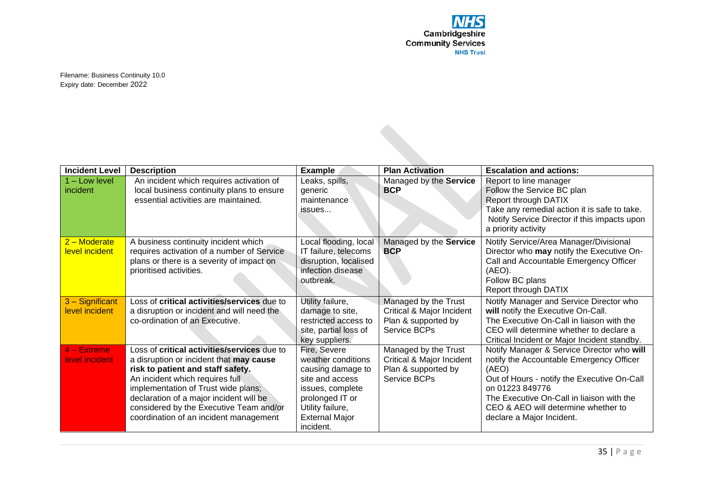| <b>Incident Level</b>             | <b>Description</b>                                                                                                                                                                                                                                                                                                                           | <b>Example</b>                                                                                                                                                              | <b>Plan Activation</b>                                                                   | <b>Escalation and actions:</b>                                                                                                                                                                                                                                                     |
|-----------------------------------|----------------------------------------------------------------------------------------------------------------------------------------------------------------------------------------------------------------------------------------------------------------------------------------------------------------------------------------------|-----------------------------------------------------------------------------------------------------------------------------------------------------------------------------|------------------------------------------------------------------------------------------|------------------------------------------------------------------------------------------------------------------------------------------------------------------------------------------------------------------------------------------------------------------------------------|
| $1 -$ Low level<br>incident       | An incident which requires activation of<br>local business continuity plans to ensure<br>essential activities are maintained.                                                                                                                                                                                                                | Leaks, spills,<br>generic<br>maintenance<br>issues                                                                                                                          | Managed by the Service<br><b>BCP</b>                                                     | Report to line manager<br>Follow the Service BC plan<br>Report through DATIX<br>Take any remedial action it is safe to take.<br>Notify Service Director if this impacts upon<br>a priority activity                                                                                |
| $2 -$ Moderate<br>level incident  | A business continuity incident which<br>requires activation of a number of Service<br>plans or there is a severity of impact on<br>prioritised activities.                                                                                                                                                                                   | Local flooding, local<br>IT failure, telecoms<br>disruption, localised<br>infection disease<br>outbreak.                                                                    | Managed by the Service<br><b>BCP</b>                                                     | Notify Service/Area Manager/Divisional<br>Director who may notify the Executive On-<br>Call and Accountable Emergency Officer<br>(AEO).<br>Follow BC plans<br><b>Report through DATIX</b>                                                                                          |
| 3 - Significant<br>level incident | Loss of <b>critical activities/services</b> due to<br>a disruption or incident and will need the<br>co-ordination of an Executive.                                                                                                                                                                                                           | Utility failure,<br>damage to site,<br>restricted access to<br>site, partial loss of<br>key suppliers.                                                                      | Managed by the Trust<br>Critical & Major Incident<br>Plan & supported by<br>Service BCPs | Notify Manager and Service Director who<br>will notify the Executive On-Call.<br>The Executive On-Call in liaison with the<br>CEO will determine whether to declare a<br>Critical Incident or Major Incident standby.                                                              |
| $4 -$ Extreme<br>level incident   | Loss of <b>critical activities/services</b> due to<br>a disruption or incident that may cause<br>risk to patient and staff safety.<br>An incident which requires full<br>implementation of Trust wide plans;<br>declaration of a major incident will be<br>considered by the Executive Team and/or<br>coordination of an incident management | Fire, Severe<br>weather conditions<br>causing damage to<br>site and access<br>issues, complete<br>prolonged IT or<br>Utility failure,<br><b>External Major</b><br>incident. | Managed by the Trust<br>Critical & Major Incident<br>Plan & supported by<br>Service BCPs | Notify Manager & Service Director who will<br>notify the Accountable Emergency Officer<br>(AEO)<br>Out of Hours - notify the Executive On-Call<br>on 01223 849776<br>The Executive On-Call in liaison with the<br>CEO & AEO will determine whether to<br>declare a Major Incident. |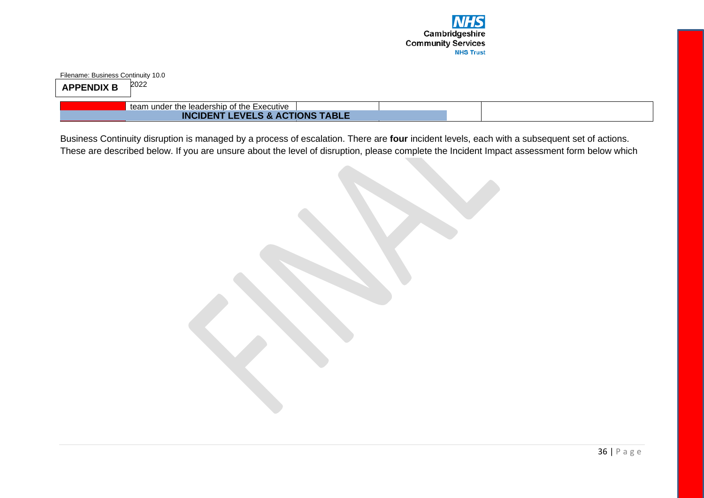

Filename: Business Continuity 10.0  $APPENDIX B$ <sup>2022</sup>

team under the leadership of the Executive

**INCIDENT LEVELS & ACTIONS TABLE** 

Business Continuity disruption is managed by a process of escalation. There are **four** incident levels, each with a subsequent set of actions. These are described below. If you are unsure about the level of disruption, please complete the Incident Impact assessment form below which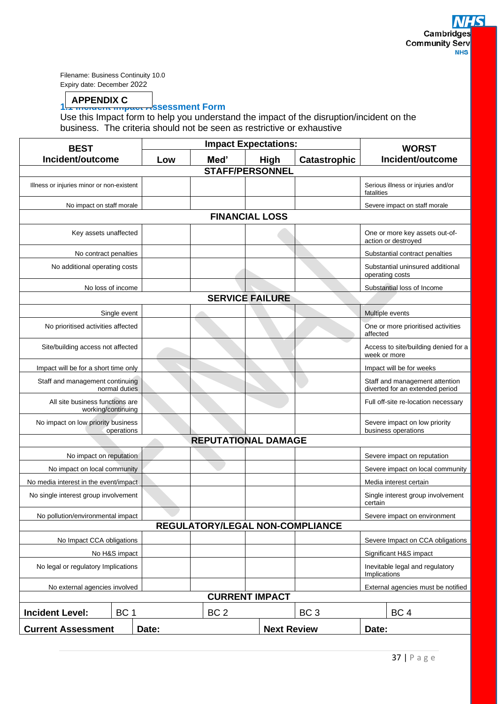## **APPENDIX C**

## **1. AFFLINDIA C**<br>1. <del>Includint Impact A</del>ssessment Form

Use this Impact form to help you understand the impact of the disruption/incident on the business. The criteria should not be seen as restrictive or exhaustive

| <b>BEST</b>                                           | <b>Impact Expectations:</b> |                 | <b>WORST</b>                    |                 |              |                                                                   |
|-------------------------------------------------------|-----------------------------|-----------------|---------------------------------|-----------------|--------------|-------------------------------------------------------------------|
| Incident/outcome                                      | Low                         | Med'            | <b>High</b>                     | Catastrophic    |              | Incident/outcome                                                  |
| <b>STAFF/PERSONNEL</b>                                |                             |                 |                                 |                 |              |                                                                   |
| Illness or injuries minor or non-existent             |                             |                 |                                 |                 | fatalities   | Serious illness or injuries and/or                                |
| No impact on staff morale                             |                             |                 |                                 |                 |              | Severe impact on staff morale                                     |
|                                                       |                             |                 | <b>FINANCIAL LOSS</b>           |                 |              |                                                                   |
| Key assets unaffected                                 |                             |                 |                                 |                 |              | One or more key assets out-of-<br>action or destroyed             |
| No contract penalties                                 |                             |                 |                                 |                 |              | Substantial contract penalties                                    |
| No additional operating costs                         |                             |                 |                                 |                 |              | Substantial uninsured additional<br>operating costs               |
| No loss of income                                     |                             |                 |                                 |                 |              | Substantial loss of Income                                        |
|                                                       |                             |                 | <b>SERVICE FAILURE</b>          |                 |              |                                                                   |
| Single event                                          |                             |                 |                                 |                 |              | Multiple events                                                   |
| No prioritised activities affected                    |                             |                 |                                 |                 | affected     | One or more prioritised activities                                |
| Site/building access not affected                     |                             |                 |                                 |                 | week or more | Access to site/building denied for a                              |
| Impact will be for a short time only                  |                             |                 |                                 |                 |              | Impact will be for weeks                                          |
| Staff and management continuing<br>normal duties      |                             |                 |                                 |                 |              | Staff and management attention<br>diverted for an extended period |
| All site business functions are<br>working/continuing |                             |                 |                                 |                 |              | Full off-site re-location necessary                               |
| No impact on low priority business<br>operations      |                             |                 |                                 |                 |              | Severe impact on low priority<br>business operations              |
|                                                       |                             |                 | <b>REPUTATIONAL DAMAGE</b>      |                 |              |                                                                   |
| No impact on reputation                               |                             |                 |                                 |                 |              | Severe impact on reputation                                       |
| No impact on local community                          |                             |                 |                                 |                 |              | Severe impact on local community                                  |
| No media interest in the event/impact                 |                             |                 |                                 |                 |              | Media interest certain                                            |
| No single interest group involvement                  |                             |                 |                                 |                 | certain      | Single interest group involvement                                 |
| No pollution/environmental impact                     |                             |                 |                                 |                 |              | Severe impact on environment                                      |
|                                                       |                             |                 | REGULATORY/LEGAL NON-COMPLIANCE |                 |              |                                                                   |
| No Impact CCA obligations                             |                             |                 |                                 |                 |              | Severe Impact on CCA obligations                                  |
| No H&S impact                                         |                             |                 |                                 |                 |              | Significant H&S impact                                            |
| No legal or regulatory Implications                   |                             |                 |                                 |                 | Implications | Inevitable legal and regulatory                                   |
| No external agencies involved                         |                             |                 |                                 |                 |              | External agencies must be notified                                |
|                                                       |                             |                 | <b>CURRENT IMPACT</b>           |                 |              |                                                                   |
| <b>Incident Level:</b><br>BC <sub>1</sub>             |                             | BC <sub>2</sub> |                                 | BC <sub>3</sub> |              | BC <sub>4</sub>                                                   |
| <b>Current Assessment</b>                             | Date:                       |                 | <b>Next Review</b>              |                 | Date:        |                                                                   |